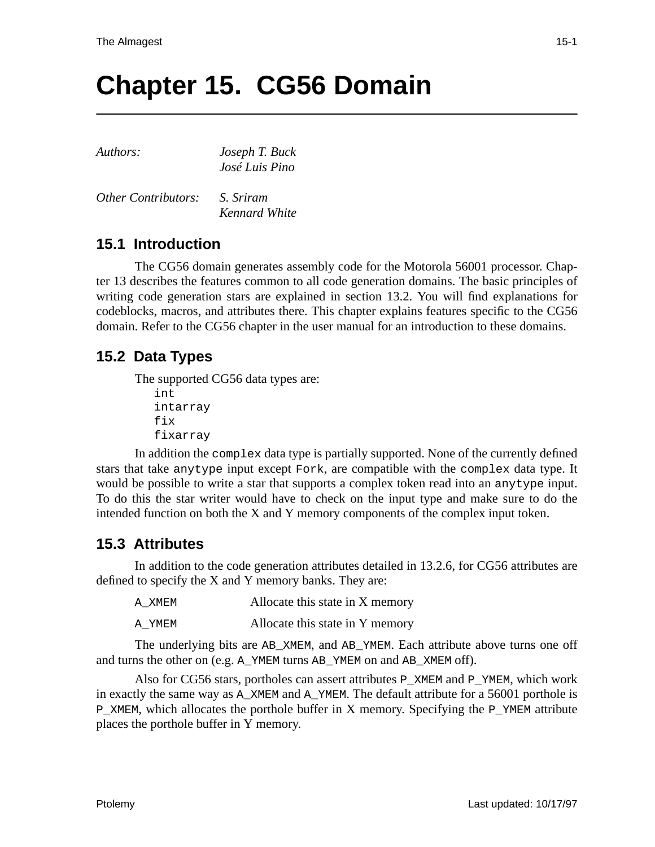# **Chapter 15. CG56 Domain**

| Authors:                   | Joseph T. Buck |  |
|----------------------------|----------------|--|
|                            | José Luis Pino |  |
| <b>Other Contributors:</b> | S. Sriram      |  |

*Kennard White*

# **15.1 Introduction**

The CG56 domain generates assembly code for the Motorola 56001 processor. Chapter 13 describes the features common to all code generation domains. The basic principles of writing code generation stars are explained in section 13.2. You will find explanations for codeblocks, macros, and attributes there. This chapter explains features specific to the CG56 domain. Refer to the CG56 chapter in the user manual for an introduction to these domains.

# **15.2 Data Types**

The supported CG56 data types are: int intarray fix

fixarray

In addition the complex data type is partially supported. None of the currently defined stars that take anytype input except Fork, are compatible with the complex data type. It would be possible to write a star that supports a complex token read into an anytype input. To do this the star writer would have to check on the input type and make sure to do the intended function on both the X and Y memory components of the complex input token.

## **15.3 Attributes**

In addition to the code generation attributes detailed in 13.2.6, for CG56 attributes are defined to specify the X and Y memory banks. They are:

| A XMEM | Allocate this state in X memory |
|--------|---------------------------------|
| A YMEM | Allocate this state in Y memory |

The underlying bits are AB\_XMEM, and AB\_YMEM. Each attribute above turns one off and turns the other on (e.g. A\_YMEM turns AB\_YMEM on and AB\_XMEM off).

Also for CG56 stars, portholes can assert attributes P\_XMEM and P\_YMEM, which work in exactly the same way as A\_XMEM and A\_YMEM. The default attribute for a 56001 porthole is P\_XMEM, which allocates the porthole buffer in X memory. Specifying the P\_YMEM attribute places the porthole buffer in Y memory.